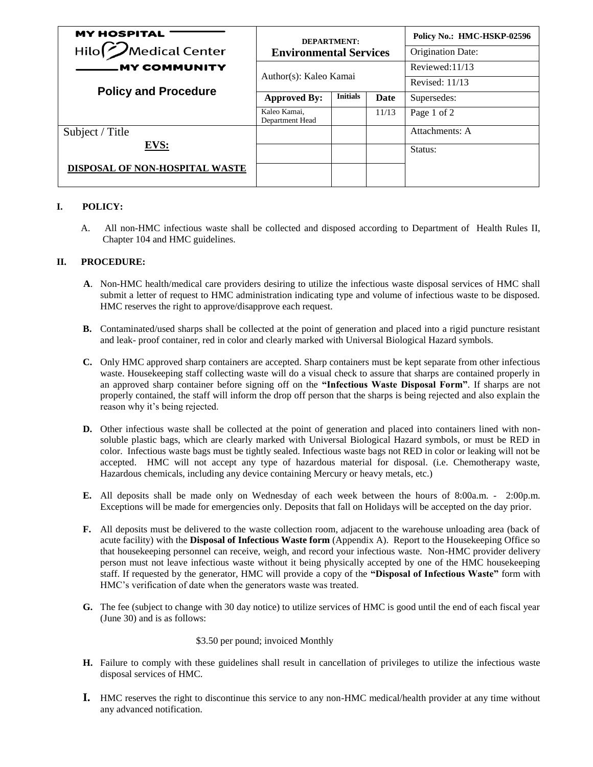| <b>MY HOSPITAL</b>                  |                                 | <b>DEPARTMENT:</b> |       | Policy No.: HMC-HSKP-02596 |
|-------------------------------------|---------------------------------|--------------------|-------|----------------------------|
| Hilo <sup>(2</sup> ) Medical Center | <b>Environmental Services</b>   |                    |       | Origination Date:          |
| <b>MY COMMUNITY</b>                 | Author(s): Kaleo Kamai          |                    |       | Reviewed:11/13             |
|                                     |                                 |                    |       | Revised: 11/13             |
| <b>Policy and Procedure</b>         | <b>Approved By:</b>             | <b>Initials</b>    | Date  | Supersedes:                |
|                                     | Kaleo Kamai,<br>Department Head |                    | 11/13 | Page 1 of 2                |
| Subject / Title                     |                                 |                    |       | Attachments: A             |
| EVS:                                |                                 |                    |       | Status:                    |
| DISPOSAL OF NON-HOSPITAL WASTE      |                                 |                    |       |                            |

## **I. POLICY:**

 A. All non-HMC infectious waste shall be collected and disposed according to Department of Health Rules II, Chapter 104 and HMC guidelines.

## **II. PROCEDURE:**

- **A**. Non-HMC health/medical care providers desiring to utilize the infectious waste disposal services of HMC shall submit a letter of request to HMC administration indicating type and volume of infectious waste to be disposed. HMC reserves the right to approve/disapprove each request.
- **B.** Contaminated/used sharps shall be collected at the point of generation and placed into a rigid puncture resistant and leak- proof container, red in color and clearly marked with Universal Biological Hazard symbols.
- **C.** Only HMC approved sharp containers are accepted. Sharp containers must be kept separate from other infectious waste. Housekeeping staff collecting waste will do a visual check to assure that sharps are contained properly in an approved sharp container before signing off on the **"Infectious Waste Disposal Form"**. If sharps are not properly contained, the staff will inform the drop off person that the sharps is being rejected and also explain the reason why it's being rejected.
- **D.** Other infectious waste shall be collected at the point of generation and placed into containers lined with nonsoluble plastic bags, which are clearly marked with Universal Biological Hazard symbols, or must be RED in color. Infectious waste bags must be tightly sealed. Infectious waste bags not RED in color or leaking will not be accepted. HMC will not accept any type of hazardous material for disposal. (i.e. Chemotherapy waste, Hazardous chemicals, including any device containing Mercury or heavy metals, etc.)
- **E.** All deposits shall be made only on Wednesday of each week between the hours of 8:00a.m. 2:00p.m. Exceptions will be made for emergencies only. Deposits that fall on Holidays will be accepted on the day prior.
- **F.** All deposits must be delivered to the waste collection room, adjacent to the warehouse unloading area (back of acute facility) with the **Disposal of Infectious Waste form** (Appendix A). Report to the Housekeeping Office so that housekeeping personnel can receive, weigh, and record your infectious waste. Non-HMC provider delivery person must not leave infectious waste without it being physically accepted by one of the HMC housekeeping staff. If requested by the generator, HMC will provide a copy of the **"Disposal of Infectious Waste"** form with HMC's verification of date when the generators waste was treated.
- **G.** The fee (subject to change with 30 day notice) to utilize services of HMC is good until the end of each fiscal year (June 30) and is as follows:

\$3.50 per pound; invoiced Monthly

- **H.** Failure to comply with these guidelines shall result in cancellation of privileges to utilize the infectious waste disposal services of HMC.
- **I.** HMC reserves the right to discontinue this service to any non-HMC medical/health provider at any time without any advanced notification.